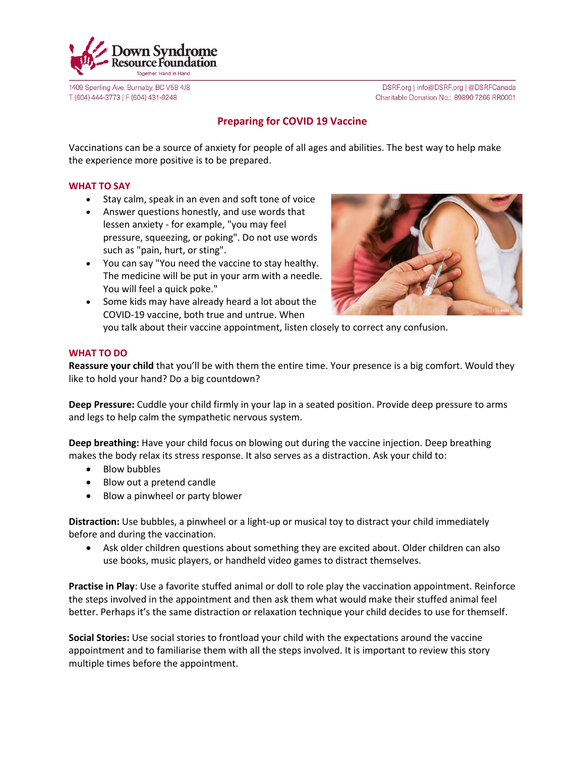

1409 Sperling Ave. Burnaby, BC V5B 4J8 T (604) 444-3773 | F (604) 431-9248

DSRF.org | info@DSRF.org | @DSRFCanada Charitable Donation No.: 89890 7266 RR0001

## **Preparing for COVID 19 Vaccine**

Vaccinations can be a source of anxiety for people of all ages and abilities. The best way to help make the experience more positive is to be prepared.

## **WHAT TO SAY**

- Stay calm, speak in an even and soft tone of voice
- Answer questions honestly, and use words that lessen anxiety - for example, "you may feel pressure, squeezing, or poking". Do not use words such as "pain, hurt, or sting".
- You can say "You need the vaccine to stay healthy. The medicine will be put in your arm with a needle. You will feel a quick poke."



• Some kids may have already heard a lot about the COVID-19 vaccine, both true and untrue. When you talk about their vaccine appointment, listen closely to correct any confusion.

## **WHAT TO DO**

**Reassure your child** that you'll be with them the entire time. Your presence is a big comfort. Would they like to hold your hand? Do a big countdown?

**Deep Pressure:** Cuddle your child firmly in your lap in a seated position. Provide deep pressure to arms and legs to help calm the sympathetic nervous system.

**Deep breathing:** Have your child focus on blowing out during the vaccine injection. Deep breathing makes the body relax its stress response. It also serves as a distraction. Ask your child to:

- Blow bubbles
- Blow out a pretend candle
- Blow a pinwheel or party blower

**Distraction:** Use bubbles, a pinwheel or a light-up or musical toy to distract your child immediately before and during the vaccination.

• Ask older children questions about something they are excited about. Older children can also use books, music players, or handheld video games to distract themselves.

**Practise in Play**: Use a favorite stuffed animal or doll to role play the vaccination appointment. Reinforce the steps involved in the appointment and then ask them what would make their stuffed animal feel better. Perhaps it's the same distraction or relaxation technique your child decides to use for themself.

**Social Stories:** Use social stories to frontload your child with the expectations around the vaccine appointment and to familiarise them with all the steps involved. It is important to review this story multiple times before the appointment.